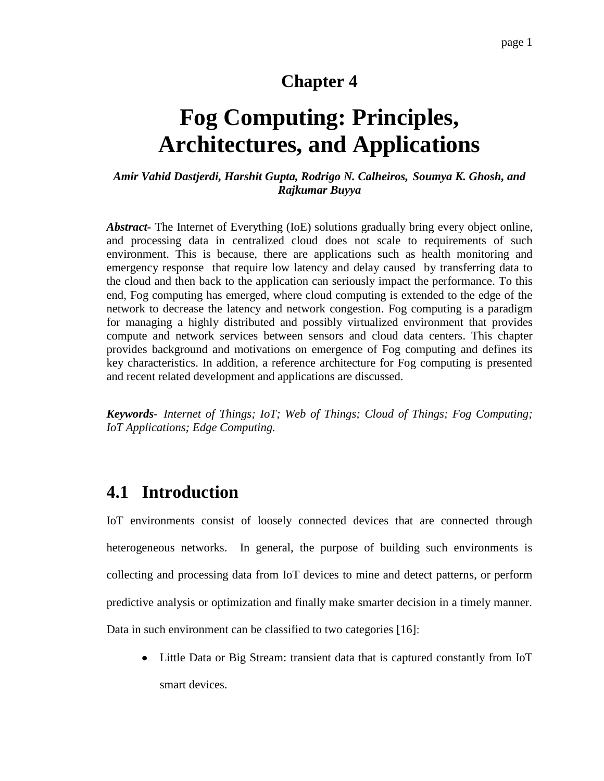## **Chapter 4**

# **Fog Computing: Principles, Architectures, and Applications**

### *Amir Vahid Dastjerdi, Harshit Gupta, Rodrigo N. Calheiros, Soumya K. Ghosh, and Rajkumar Buyya*

*Abstract-* The Internet of Everything (IoE) solutions gradually bring every object online, and processing data in centralized cloud does not scale to requirements of such environment. This is because, there are applications such as health monitoring and emergency response that require low latency and delay caused by transferring data to the cloud and then back to the application can seriously impact the performance. To this end, Fog computing has emerged, where cloud computing is extended to the edge of the network to decrease the latency and network congestion. Fog computing is a paradigm for managing a highly distributed and possibly virtualized environment that provides compute and network services between sensors and cloud data centers. This chapter provides background and motivations on emergence of Fog computing and defines its key characteristics. In addition, a reference architecture for Fog computing is presented and recent related development and applications are discussed.

*Keywords- Internet of Things; IoT; Web of Things; Cloud of Things; Fog Computing; IoT Applications; Edge Computing.*

# **4.1 Introduction**

IoT environments consist of loosely connected devices that are connected through heterogeneous networks. In general, the purpose of building such environments is collecting and processing data from IoT devices to mine and detect patterns, or perform predictive analysis or optimization and finally make smarter decision in a timely manner. Data in such environment can be classified to two categories [\[16\]](#page-25-0):

Little Data or Big Stream: transient data that is captured constantly from IoT smart devices.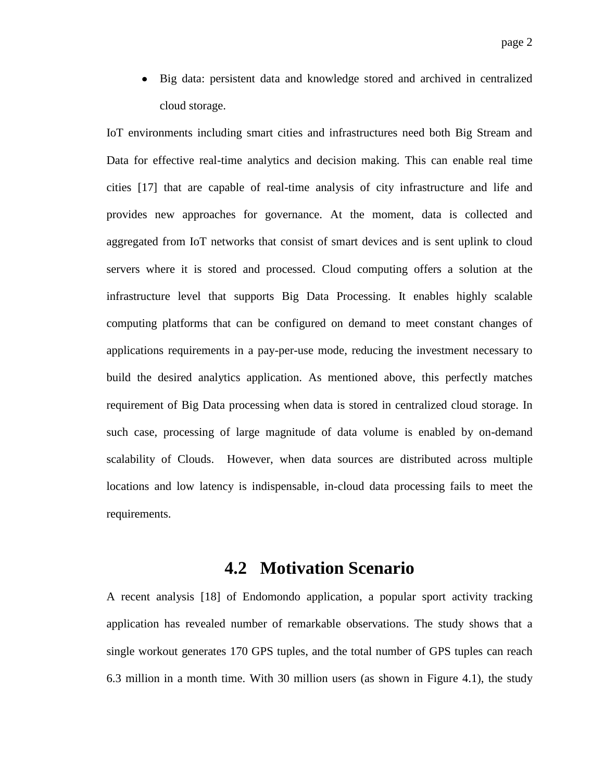Big data: persistent data and knowledge stored and archived in centralized cloud storage.

IoT environments including smart cities and infrastructures need both Big Stream and Data for effective real-time analytics and decision making. This can enable real time cities [\[17\]](#page-25-1) that are capable of real-time analysis of city infrastructure and life and provides new approaches for governance. At the moment, data is collected and aggregated from IoT networks that consist of smart devices and is sent uplink to cloud servers where it is stored and processed. Cloud computing offers a solution at the infrastructure level that supports Big Data Processing. It enables highly scalable computing platforms that can be configured on demand to meet constant changes of applications requirements in a pay-per-use mode, reducing the investment necessary to build the desired analytics application. As mentioned above, this perfectly matches requirement of Big Data processing when data is stored in centralized cloud storage. In such case, processing of large magnitude of data volume is enabled by on-demand scalability of Clouds. However, when data sources are distributed across multiple locations and low latency is indispensable, in-cloud data processing fails to meet the requirements.

### **4.2 Motivation Scenario**

A recent analysis [\[18\]](#page-25-2) of Endomondo application, a popular sport activity tracking application has revealed number of remarkable observations. The study shows that a single workout generates 170 GPS tuples, and the total number of GPS tuples can reach 6.3 million in a month time. With 30 million users (as shown in Figure 4.1), the study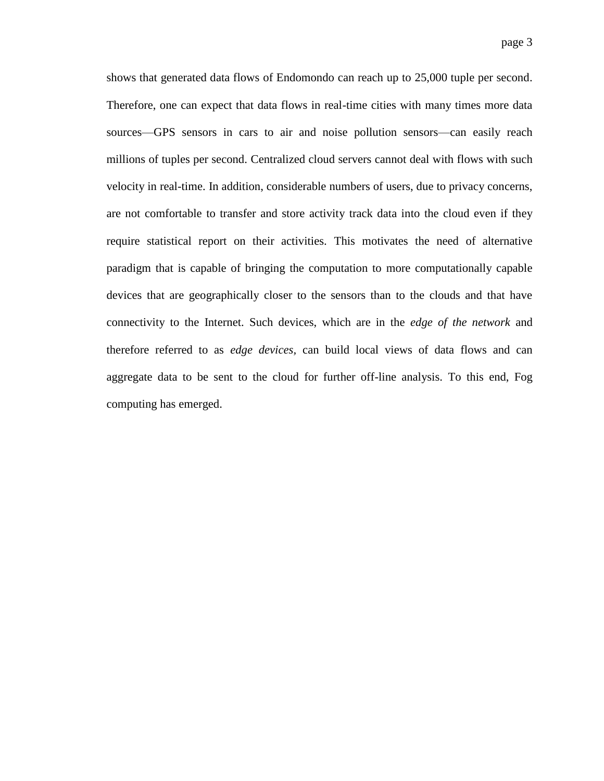shows that generated data flows of Endomondo can reach up to 25,000 tuple per second. Therefore, one can expect that data flows in real-time cities with many times more data sources—GPS sensors in cars to air and noise pollution sensors—can easily reach millions of tuples per second. Centralized cloud servers cannot deal with flows with such velocity in real-time. In addition, considerable numbers of users, due to privacy concerns, are not comfortable to transfer and store activity track data into the cloud even if they require statistical report on their activities. This motivates the need of alternative paradigm that is capable of bringing the computation to more computationally capable devices that are geographically closer to the sensors than to the clouds and that have connectivity to the Internet. Such devices, which are in the *edge of the network* and therefore referred to as *edge devices,* can build local views of data flows and can aggregate data to be sent to the cloud for further off-line analysis. To this end, Fog computing has emerged.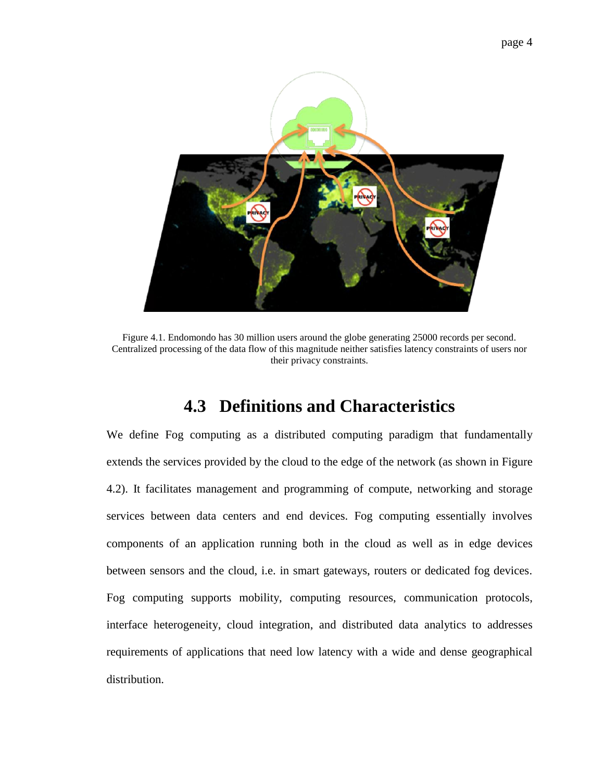

Figure 4.1. Endomondo has 30 million users around the globe generating 25000 records per second. Centralized processing of the data flow of this magnitude neither satisfies latency constraints of users nor their privacy constraints.

# **4.3 Definitions and Characteristics**

We define Fog computing as a distributed computing paradigm that fundamentally extends the services provided by the cloud to the edge of the network (as shown in Figure 4.2). It facilitates management and programming of compute, networking and storage services between data centers and end devices. Fog computing essentially involves components of an application running both in the cloud as well as in edge devices between sensors and the cloud, i.e. in smart gateways, routers or dedicated fog devices. Fog computing supports mobility, computing resources, communication protocols, interface heterogeneity, cloud integration, and distributed data analytics to addresses requirements of applications that need low latency with a wide and dense geographical distribution.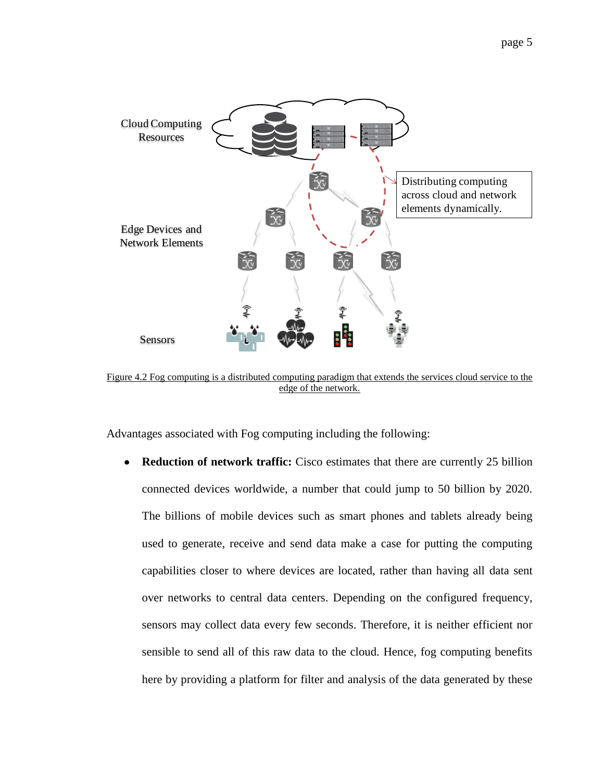

Figure 4.2 Fog computing is a distributed computing paradigm that extends the services cloud service to the edge of the network.

Advantages associated with Fog computing including the following:

**Reduction of network traffic:** Cisco estimates that there are currently 25 billion  $\bullet$ connected devices worldwide, a number that could jump to 50 billion by 2020. The billions of mobile devices such as smart phones and tablets already being used to generate, receive and send data make a case for putting the computing capabilities closer to where devices are located, rather than having all data sent over networks to central data centers. Depending on the configured frequency, sensors may collect data every few seconds. Therefore, it is neither efficient nor sensible to send all of this raw data to the cloud. Hence, fog computing benefits here by providing a platform for filter and analysis of the data generated by these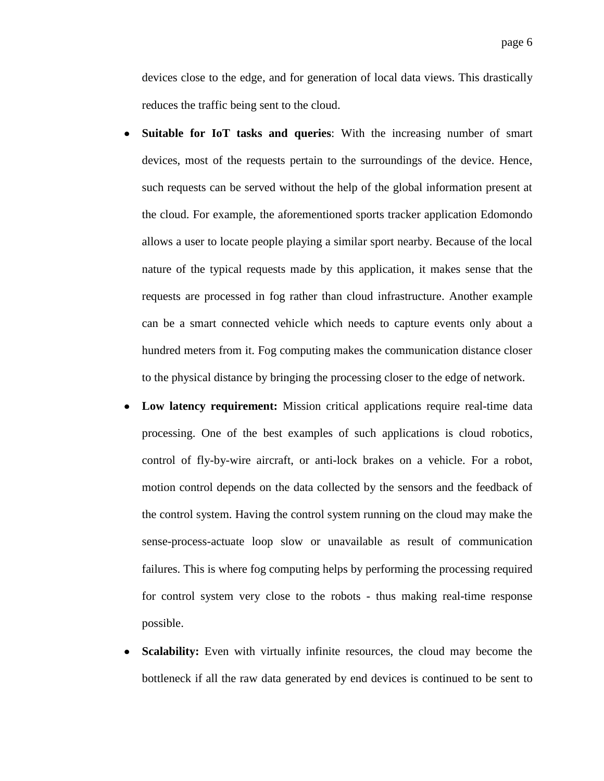devices close to the edge, and for generation of local data views. This drastically reduces the traffic being sent to the cloud.

- **Suitable for IoT tasks and queries**: With the increasing number of smart  $\bullet$ devices, most of the requests pertain to the surroundings of the device. Hence, such requests can be served without the help of the global information present at the cloud. For example, the aforementioned sports tracker application Edomondo allows a user to locate people playing a similar sport nearby. Because of the local nature of the typical requests made by this application, it makes sense that the requests are processed in fog rather than cloud infrastructure. Another example can be a smart connected vehicle which needs to capture events only about a hundred meters from it. Fog computing makes the communication distance closer to the physical distance by bringing the processing closer to the edge of network.
- **Low latency requirement:** Mission critical applications require real-time data  $\bullet$ processing. One of the best examples of such applications is cloud robotics, control of fly-by-wire aircraft, or anti-lock brakes on a vehicle. For a robot, motion control depends on the data collected by the sensors and the feedback of the control system. Having the control system running on the cloud may make the sense-process-actuate loop slow or unavailable as result of communication failures. This is where fog computing helps by performing the processing required for control system very close to the robots - thus making real-time response possible.
- **Scalability:** Even with virtually infinite resources, the cloud may become the  $\bullet$ bottleneck if all the raw data generated by end devices is continued to be sent to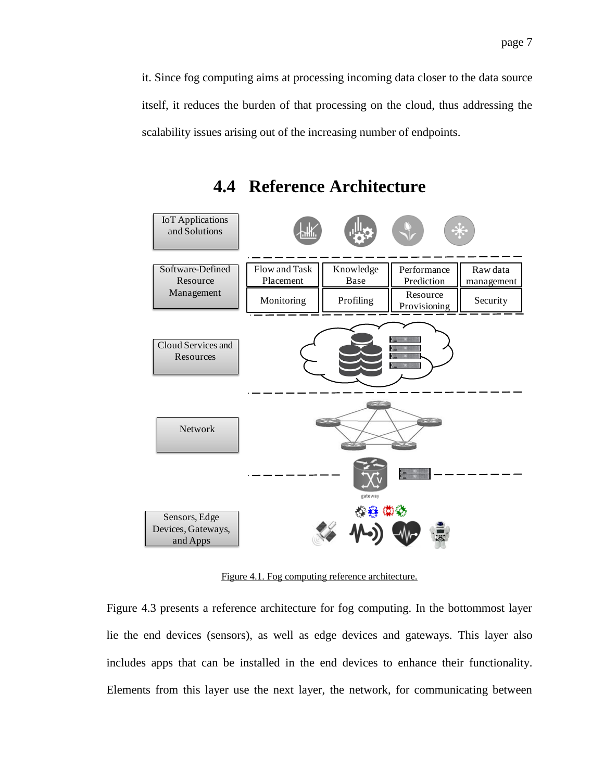it. Since fog computing aims at processing incoming data closer to the data source itself, it reduces the burden of that processing on the cloud, thus addressing the scalability issues arising out of the increasing number of endpoints.

**4.4 Reference Architecture**



Figure 4.1. Fog computing reference architecture.

Figure 4.3 presents a reference architecture for fog computing. In the bottommost layer lie the end devices (sensors), as well as edge devices and gateways. This layer also includes apps that can be installed in the end devices to enhance their functionality. Elements from this layer use the next layer, the network, for communicating between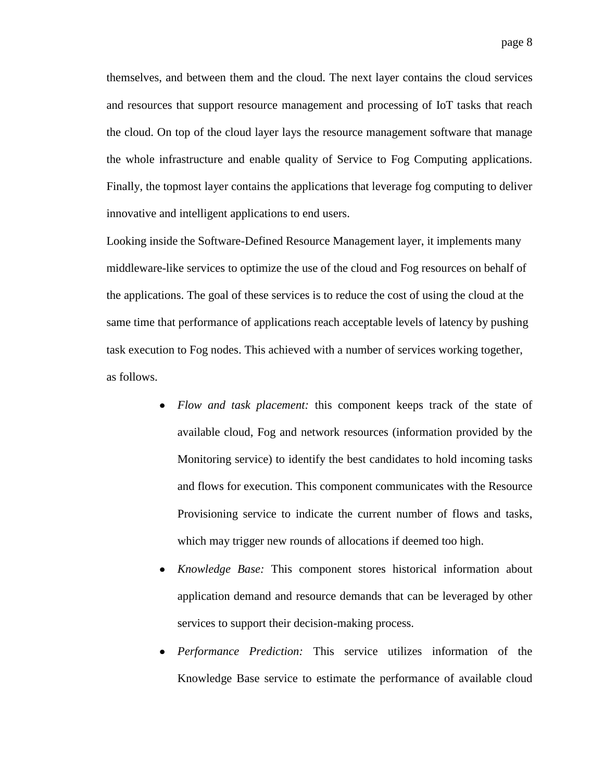themselves, and between them and the cloud. The next layer contains the cloud services and resources that support resource management and processing of IoT tasks that reach the cloud. On top of the cloud layer lays the resource management software that manage the whole infrastructure and enable quality of Service to Fog Computing applications. Finally, the topmost layer contains the applications that leverage fog computing to deliver innovative and intelligent applications to end users.

Looking inside the Software-Defined Resource Management layer, it implements many middleware-like services to optimize the use of the cloud and Fog resources on behalf of the applications. The goal of these services is to reduce the cost of using the cloud at the same time that performance of applications reach acceptable levels of latency by pushing task execution to Fog nodes. This achieved with a number of services working together, as follows.

- *Flow and task placement:* this component keeps track of the state of available cloud, Fog and network resources (information provided by the Monitoring service) to identify the best candidates to hold incoming tasks and flows for execution. This component communicates with the Resource Provisioning service to indicate the current number of flows and tasks, which may trigger new rounds of allocations if deemed too high.
- *Knowledge Base:* This component stores historical information about application demand and resource demands that can be leveraged by other services to support their decision-making process.
- *Performance Prediction:* This service utilizes information of the Knowledge Base service to estimate the performance of available cloud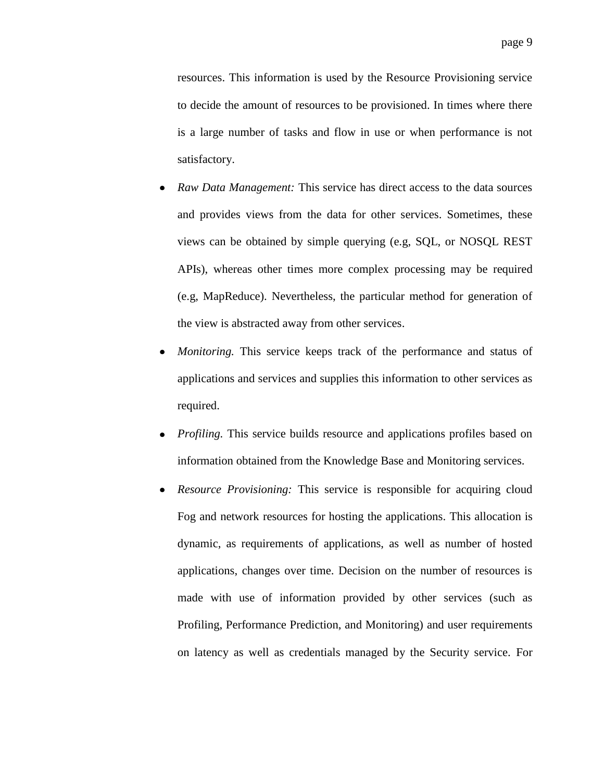resources. This information is used by the Resource Provisioning service to decide the amount of resources to be provisioned. In times where there is a large number of tasks and flow in use or when performance is not satisfactory.

- *Raw Data Management:* This service has direct access to the data sources and provides views from the data for other services. Sometimes, these views can be obtained by simple querying (e.g, SQL, or NOSQL REST APIs), whereas other times more complex processing may be required (e.g, MapReduce). Nevertheless, the particular method for generation of the view is abstracted away from other services.
- *Monitoring.* This service keeps track of the performance and status of applications and services and supplies this information to other services as required.
- *Profiling.* This service builds resource and applications profiles based on information obtained from the Knowledge Base and Monitoring services.
- *Resource Provisioning:* This service is responsible for acquiring cloud Fog and network resources for hosting the applications. This allocation is dynamic, as requirements of applications, as well as number of hosted applications, changes over time. Decision on the number of resources is made with use of information provided by other services (such as Profiling, Performance Prediction, and Monitoring) and user requirements on latency as well as credentials managed by the Security service. For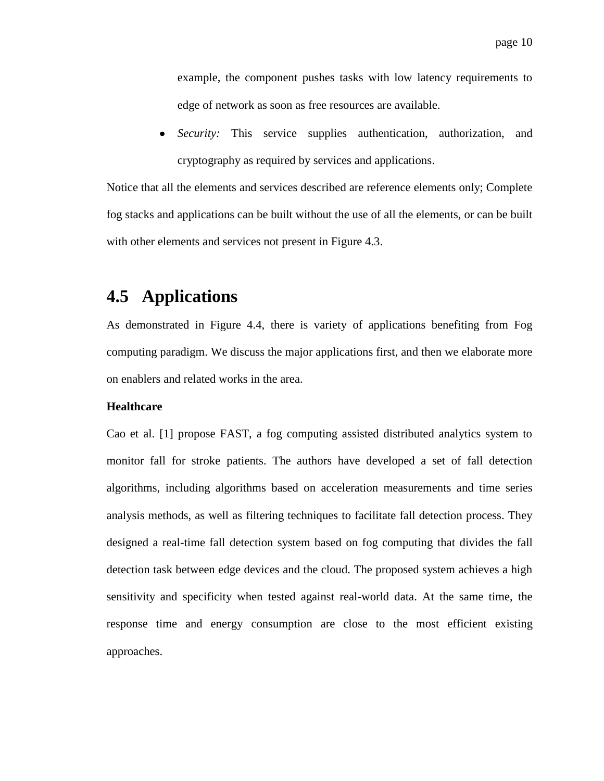example, the component pushes tasks with low latency requirements to edge of network as soon as free resources are available.

*Security:* This service supplies authentication, authorization, and cryptography as required by services and applications.

Notice that all the elements and services described are reference elements only; Complete fog stacks and applications can be built without the use of all the elements, or can be built with other elements and services not present in Figure 4.3.

# **4.5 Applications**

As demonstrated in Figure 4.4, there is variety of applications benefiting from Fog computing paradigm. We discuss the major applications first, and then we elaborate more on enablers and related works in the area.

### **Healthcare**

Cao et al. [1] propose FAST, a fog computing assisted distributed analytics system to monitor fall for stroke patients. The authors have developed a set of fall detection algorithms, including algorithms based on acceleration measurements and time series analysis methods, as well as filtering techniques to facilitate fall detection process. They designed a real-time fall detection system based on fog computing that divides the fall detection task between edge devices and the cloud. The proposed system achieves a high sensitivity and specificity when tested against real-world data. At the same time, the response time and energy consumption are close to the most efficient existing approaches.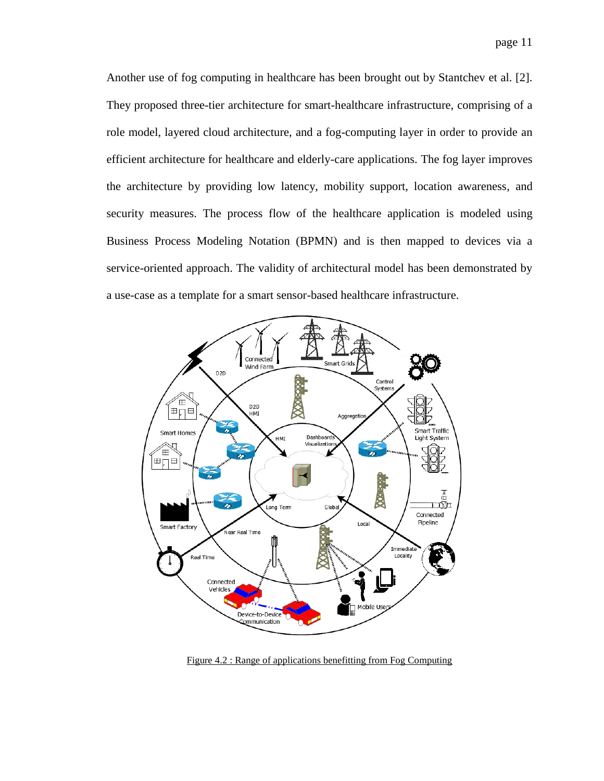Another use of fog computing in healthcare has been brought out by Stantchev et al. [2]. They proposed three-tier architecture for smart-healthcare infrastructure, comprising of a role model, layered cloud architecture, and a fog-computing layer in order to provide an efficient architecture for healthcare and elderly-care applications. The fog layer improves the architecture by providing low latency, mobility support, location awareness, and security measures. The process flow of the healthcare application is modeled using Business Process Modeling Notation (BPMN) and is then mapped to devices via a service-oriented approach. The validity of architectural model has been demonstrated by a use-case as a template for a smart sensor-based healthcare infrastructure.



Figure 4.2 : Range of applications benefitting from Fog Computing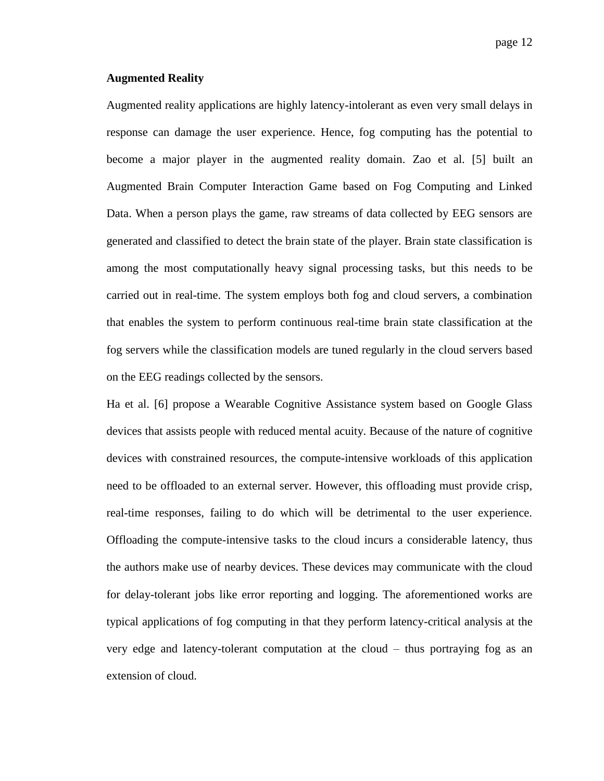### **Augmented Reality**

Augmented reality applications are highly latency-intolerant as even very small delays in response can damage the user experience. Hence, fog computing has the potential to become a major player in the augmented reality domain. Zao et al. [5] built an Augmented Brain Computer Interaction Game based on Fog Computing and Linked Data. When a person plays the game, raw streams of data collected by EEG sensors are generated and classified to detect the brain state of the player. Brain state classification is among the most computationally heavy signal processing tasks, but this needs to be carried out in real-time. The system employs both fog and cloud servers, a combination that enables the system to perform continuous real-time brain state classification at the fog servers while the classification models are tuned regularly in the cloud servers based on the EEG readings collected by the sensors.

Ha et al. [6] propose a Wearable Cognitive Assistance system based on Google Glass devices that assists people with reduced mental acuity. Because of the nature of cognitive devices with constrained resources, the compute-intensive workloads of this application need to be offloaded to an external server. However, this offloading must provide crisp, real-time responses, failing to do which will be detrimental to the user experience. Offloading the compute-intensive tasks to the cloud incurs a considerable latency, thus the authors make use of nearby devices. These devices may communicate with the cloud for delay-tolerant jobs like error reporting and logging. The aforementioned works are typical applications of fog computing in that they perform latency-critical analysis at the very edge and latency-tolerant computation at the cloud – thus portraying fog as an extension of cloud.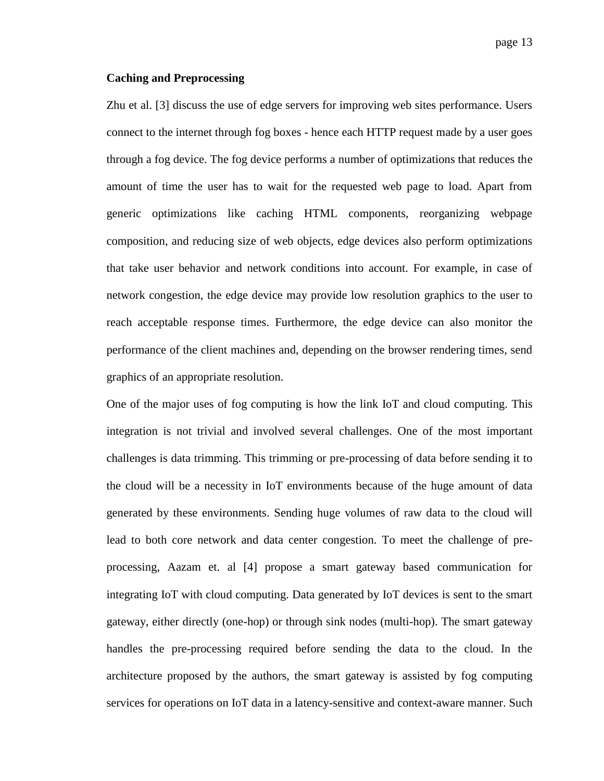### **Caching and Preprocessing**

Zhu et al. [\[3\]](#page-25-3) discuss the use of edge servers for improving web sites performance. Users connect to the internet through fog boxes - hence each HTTP request made by a user goes through a fog device. The fog device performs a number of optimizations that reduces the amount of time the user has to wait for the requested web page to load. Apart from generic optimizations like caching HTML components, reorganizing webpage composition, and reducing size of web objects, edge devices also perform optimizations that take user behavior and network conditions into account. For example, in case of network congestion, the edge device may provide low resolution graphics to the user to reach acceptable response times. Furthermore, the edge device can also monitor the performance of the client machines and, depending on the browser rendering times, send graphics of an appropriate resolution.

One of the major uses of fog computing is how the link IoT and cloud computing. This integration is not trivial and involved several challenges. One of the most important challenges is data trimming. This trimming or pre-processing of data before sending it to the cloud will be a necessity in IoT environments because of the huge amount of data generated by these environments. Sending huge volumes of raw data to the cloud will lead to both core network and data center congestion. To meet the challenge of preprocessing, Aazam et. al [4] propose a smart gateway based communication for integrating IoT with cloud computing. Data generated by IoT devices is sent to the smart gateway, either directly (one-hop) or through sink nodes (multi-hop). The smart gateway handles the pre-processing required before sending the data to the cloud. In the architecture proposed by the authors, the smart gateway is assisted by fog computing services for operations on IoT data in a latency-sensitive and context-aware manner. Such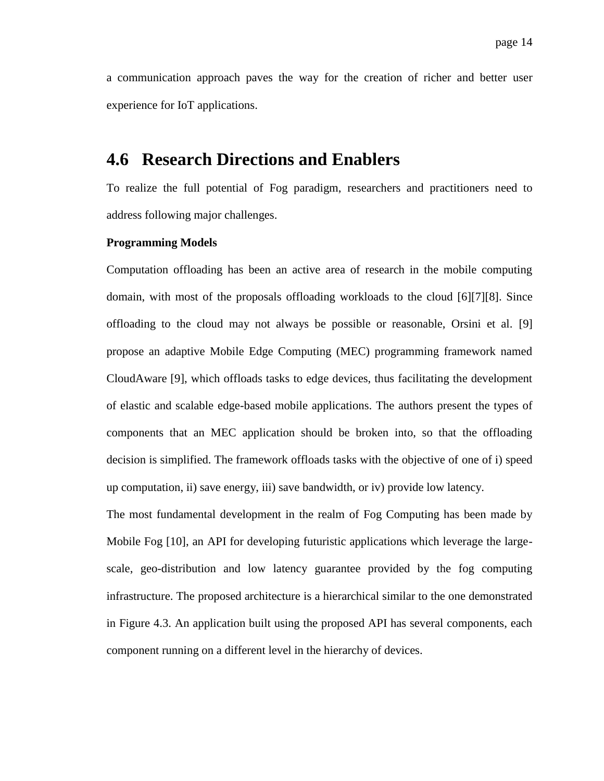a communication approach paves the way for the creation of richer and better user experience for IoT applications.

### **4.6 Research Directions and Enablers**

To realize the full potential of Fog paradigm, researchers and practitioners need to address following major challenges.

### **Programming Models**

Computation offloading has been an active area of research in the mobile computing domain, with most of the proposals offloading workloads to the cloud [6][7][8]. Since offloading to the cloud may not always be possible or reasonable, Orsini et al. [\[9\]](#page-25-4) propose an adaptive Mobile Edge Computing (MEC) programming framework named CloudAware [9], which offloads tasks to edge devices, thus facilitating the development of elastic and scalable edge-based mobile applications. The authors present the types of components that an MEC application should be broken into, so that the offloading decision is simplified. The framework offloads tasks with the objective of one of i) speed up computation, ii) save energy, iii) save bandwidth, or iv) provide low latency.

The most fundamental development in the realm of Fog Computing has been made by Mobile Fog [10], an API for developing futuristic applications which leverage the largescale, geo-distribution and low latency guarantee provided by the fog computing infrastructure. The proposed architecture is a hierarchical similar to the one demonstrated in Figure 4.3. An application built using the proposed API has several components, each component running on a different level in the hierarchy of devices.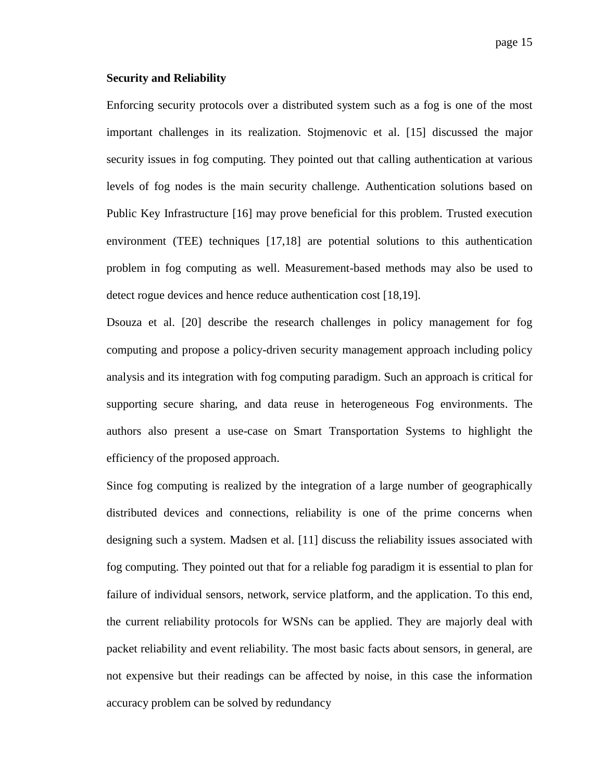#### **Security and Reliability**

Enforcing security protocols over a distributed system such as a fog is one of the most important challenges in its realization. Stojmenovic et al. [15] discussed the major security issues in fog computing. They pointed out that calling authentication at various levels of fog nodes is the main security challenge. Authentication solutions based on Public Key Infrastructure [16] may prove beneficial for this problem. Trusted execution environment (TEE) techniques [17,18] are potential solutions to this authentication problem in fog computing as well. Measurement-based methods may also be used to detect rogue devices and hence reduce authentication cost [18,19].

Dsouza et al. [20] describe the research challenges in policy management for fog computing and propose a policy-driven security management approach including policy analysis and its integration with fog computing paradigm. Such an approach is critical for supporting secure sharing, and data reuse in heterogeneous Fog environments. The authors also present a use-case on Smart Transportation Systems to highlight the efficiency of the proposed approach.

Since fog computing is realized by the integration of a large number of geographically distributed devices and connections, reliability is one of the prime concerns when designing such a system. Madsen et al. [11] discuss the reliability issues associated with fog computing. They pointed out that for a reliable fog paradigm it is essential to plan for failure of individual sensors, network, service platform, and the application. To this end, the current reliability protocols for WSNs can be applied. They are majorly deal with packet reliability and event reliability. The most basic facts about sensors, in general, are not expensive but their readings can be affected by noise, in this case the information accuracy problem can be solved by redundancy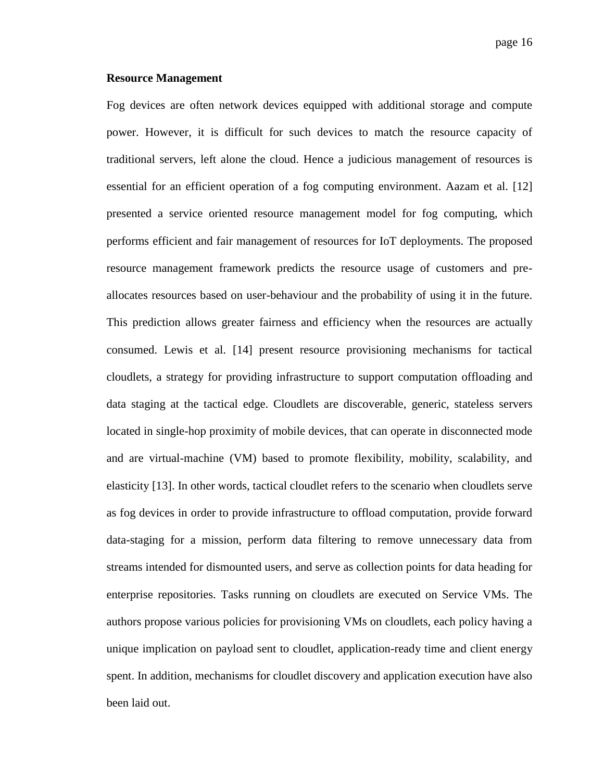#### **Resource Management**

Fog devices are often network devices equipped with additional storage and compute power. However, it is difficult for such devices to match the resource capacity of traditional servers, left alone the cloud. Hence a judicious management of resources is essential for an efficient operation of a fog computing environment. Aazam et al. [12] presented a service oriented resource management model for fog computing, which performs efficient and fair management of resources for IoT deployments. The proposed resource management framework predicts the resource usage of customers and preallocates resources based on user-behaviour and the probability of using it in the future. This prediction allows greater fairness and efficiency when the resources are actually consumed. Lewis et al. [14] present resource provisioning mechanisms for tactical cloudlets, a strategy for providing infrastructure to support computation offloading and data staging at the tactical edge. Cloudlets are discoverable, generic, stateless servers located in single-hop proximity of mobile devices, that can operate in disconnected mode and are virtual-machine (VM) based to promote flexibility, mobility, scalability, and elasticity [13]. In other words, tactical cloudlet refers to the scenario when cloudlets serve as fog devices in order to provide infrastructure to offload computation, provide forward data-staging for a mission, perform data filtering to remove unnecessary data from streams intended for dismounted users, and serve as collection points for data heading for enterprise repositories. Tasks running on cloudlets are executed on Service VMs. The authors propose various policies for provisioning VMs on cloudlets, each policy having a unique implication on payload sent to cloudlet, application-ready time and client energy spent. In addition, mechanisms for cloudlet discovery and application execution have also been laid out.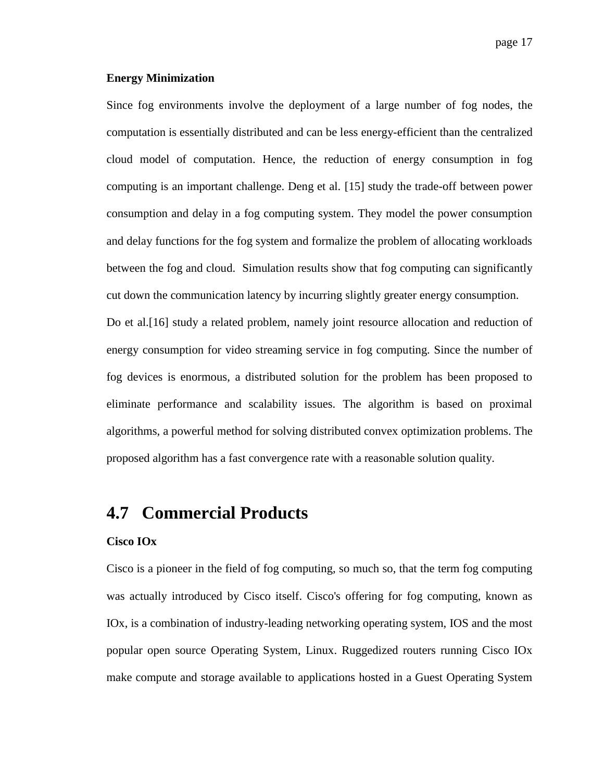### **Energy Minimization**

Since fog environments involve the deployment of a large number of fog nodes, the computation is essentially distributed and can be less energy-efficient than the centralized cloud model of computation. Hence, the reduction of energy consumption in fog computing is an important challenge. Deng et al. [15] study the trade-off between power consumption and delay in a fog computing system. They model the power consumption and delay functions for the fog system and formalize the problem of allocating workloads between the fog and cloud. Simulation results show that fog computing can significantly cut down the communication latency by incurring slightly greater energy consumption.

Do et al.[16] study a related problem, namely joint resource allocation and reduction of energy consumption for video streaming service in fog computing. Since the number of fog devices is enormous, a distributed solution for the problem has been proposed to eliminate performance and scalability issues. The algorithm is based on proximal algorithms, a powerful method for solving distributed convex optimization problems. The proposed algorithm has a fast convergence rate with a reasonable solution quality.

### **4.7 Commercial Products**

### **Cisco IOx**

Cisco is a pioneer in the field of fog computing, so much so, that the term fog computing was actually introduced by Cisco itself. Cisco's offering for fog computing, known as IOx, is a combination of industry-leading networking operating system, IOS and the most popular open source Operating System, Linux. Ruggedized routers running Cisco IOx make compute and storage available to applications hosted in a Guest Operating System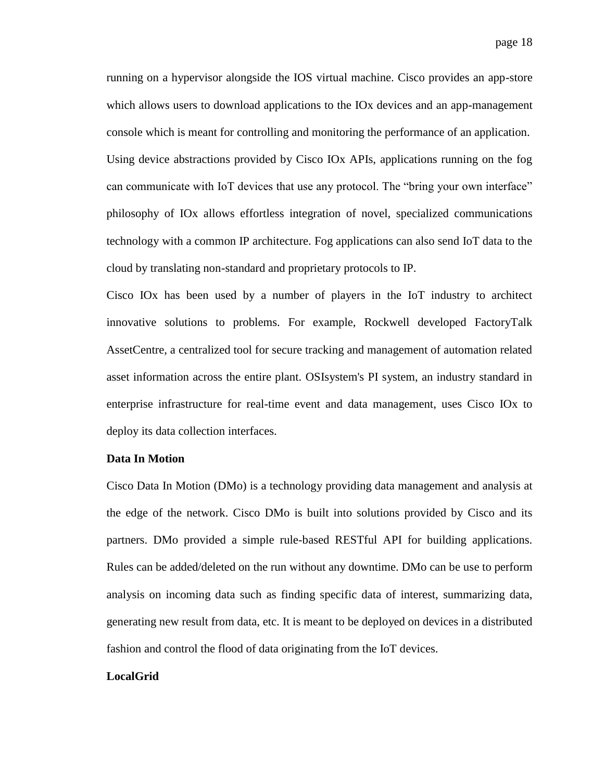running on a hypervisor alongside the IOS virtual machine. Cisco provides an app-store which allows users to download applications to the IOx devices and an app-management console which is meant for controlling and monitoring the performance of an application. Using device abstractions provided by Cisco IOx APIs, applications running on the fog can communicate with IoT devices that use any protocol. The "bring your own interface" philosophy of IOx allows effortless integration of novel, specialized communications technology with a common IP architecture. Fog applications can also send IoT data to the cloud by translating non-standard and proprietary protocols to IP.

Cisco IOx has been used by a number of players in the IoT industry to architect innovative solutions to problems. For example, Rockwell developed FactoryTalk AssetCentre, a centralized tool for secure tracking and management of automation related asset information across the entire plant. OSIsystem's PI system, an industry standard in enterprise infrastructure for real-time event and data management, uses Cisco IOx to deploy its data collection interfaces.

### **Data In Motion**

Cisco Data In Motion (DMo) is a technology providing data management and analysis at the edge of the network. Cisco DMo is built into solutions provided by Cisco and its partners. DMo provided a simple rule-based RESTful API for building applications. Rules can be added/deleted on the run without any downtime. DMo can be use to perform analysis on incoming data such as finding specific data of interest, summarizing data, generating new result from data, etc. It is meant to be deployed on devices in a distributed fashion and control the flood of data originating from the IoT devices.

#### **LocalGrid**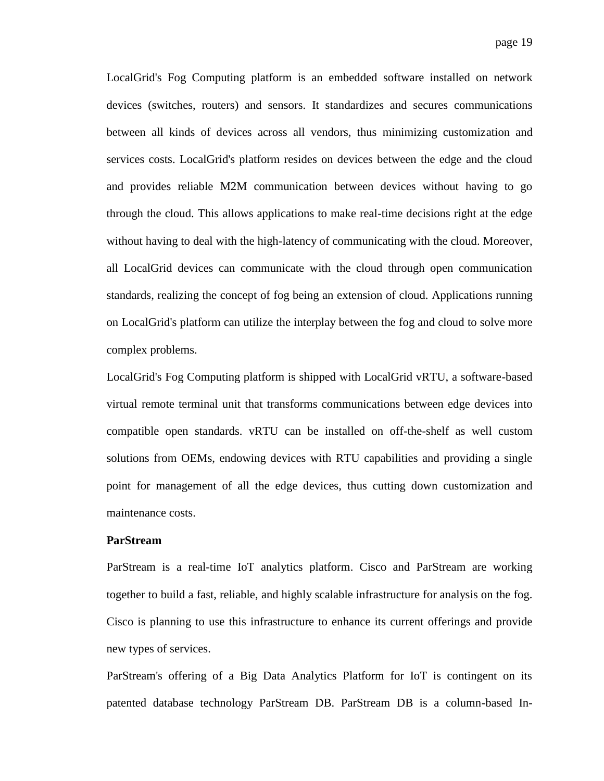LocalGrid's Fog Computing platform is an embedded software installed on network devices (switches, routers) and sensors. It standardizes and secures communications between all kinds of devices across all vendors, thus minimizing customization and services costs. LocalGrid's platform resides on devices between the edge and the cloud and provides reliable M2M communication between devices without having to go through the cloud. This allows applications to make real-time decisions right at the edge without having to deal with the high-latency of communicating with the cloud. Moreover, all LocalGrid devices can communicate with the cloud through open communication standards, realizing the concept of fog being an extension of cloud. Applications running on LocalGrid's platform can utilize the interplay between the fog and cloud to solve more complex problems.

LocalGrid's Fog Computing platform is shipped with LocalGrid vRTU, a software-based virtual remote terminal unit that transforms communications between edge devices into compatible open standards. vRTU can be installed on off-the-shelf as well custom solutions from OEMs, endowing devices with RTU capabilities and providing a single point for management of all the edge devices, thus cutting down customization and maintenance costs.

### **ParStream**

ParStream is a real-time IoT analytics platform. Cisco and ParStream are working together to build a fast, reliable, and highly scalable infrastructure for analysis on the fog. Cisco is planning to use this infrastructure to enhance its current offerings and provide new types of services.

ParStream's offering of a Big Data Analytics Platform for IoT is contingent on its patented database technology ParStream DB. ParStream DB is a column-based In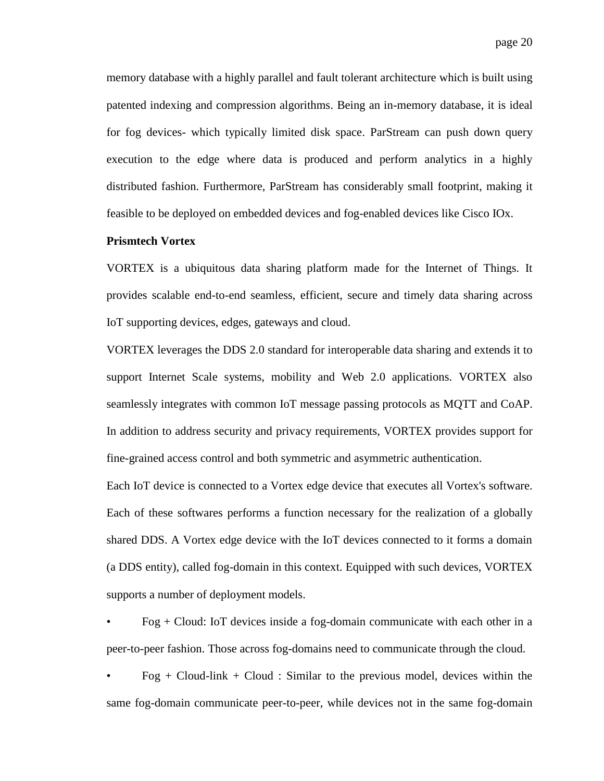memory database with a highly parallel and fault tolerant architecture which is built using patented indexing and compression algorithms. Being an in-memory database, it is ideal for fog devices- which typically limited disk space. ParStream can push down query execution to the edge where data is produced and perform analytics in a highly distributed fashion. Furthermore, ParStream has considerably small footprint, making it feasible to be deployed on embedded devices and fog-enabled devices like Cisco IOx.

### **Prismtech Vortex**

VORTEX is a ubiquitous data sharing platform made for the Internet of Things. It provides scalable end-to-end seamless, efficient, secure and timely data sharing across IoT supporting devices, edges, gateways and cloud.

VORTEX leverages the DDS 2.0 standard for interoperable data sharing and extends it to support Internet Scale systems, mobility and Web 2.0 applications. VORTEX also seamlessly integrates with common IoT message passing protocols as MQTT and CoAP. In addition to address security and privacy requirements, VORTEX provides support for fine-grained access control and both symmetric and asymmetric authentication.

Each IoT device is connected to a Vortex edge device that executes all Vortex's software. Each of these softwares performs a function necessary for the realization of a globally shared DDS. A Vortex edge device with the IoT devices connected to it forms a domain (a DDS entity), called fog-domain in this context. Equipped with such devices, VORTEX supports a number of deployment models.

 $Fog + Cloud:$  IoT devices inside a fog-domain communicate with each other in a peer-to-peer fashion. Those across fog-domains need to communicate through the cloud.

 $Fog + Cloud-link + Cloud : Similar to the previous model, devices within the$ same fog-domain communicate peer-to-peer, while devices not in the same fog-domain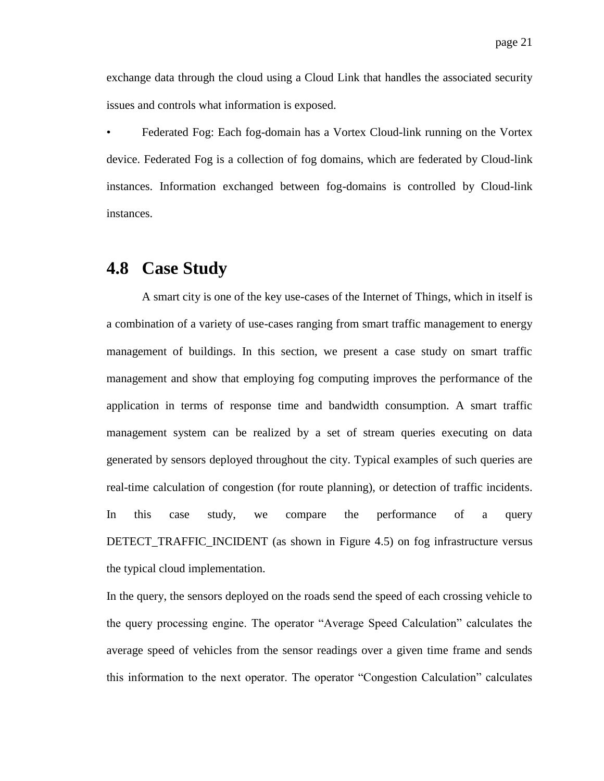exchange data through the cloud using a Cloud Link that handles the associated security issues and controls what information is exposed.

• Federated Fog: Each fog-domain has a Vortex Cloud-link running on the Vortex device. Federated Fog is a collection of fog domains, which are federated by Cloud-link instances. Information exchanged between fog-domains is controlled by Cloud-link instances.

### **4.8 Case Study**

A smart city is one of the key use-cases of the Internet of Things, which in itself is a combination of a variety of use-cases ranging from smart traffic management to energy management of buildings. In this section, we present a case study on smart traffic management and show that employing fog computing improves the performance of the application in terms of response time and bandwidth consumption. A smart traffic management system can be realized by a set of stream queries executing on data generated by sensors deployed throughout the city. Typical examples of such queries are real-time calculation of congestion (for route planning), or detection of traffic incidents. In this case study, we compare the performance of a query DETECT\_TRAFFIC\_INCIDENT (as shown in Figure 4.5) on fog infrastructure versus the typical cloud implementation.

In the query, the sensors deployed on the roads send the speed of each crossing vehicle to the query processing engine. The operator "Average Speed Calculation" calculates the average speed of vehicles from the sensor readings over a given time frame and sends this information to the next operator. The operator "Congestion Calculation" calculates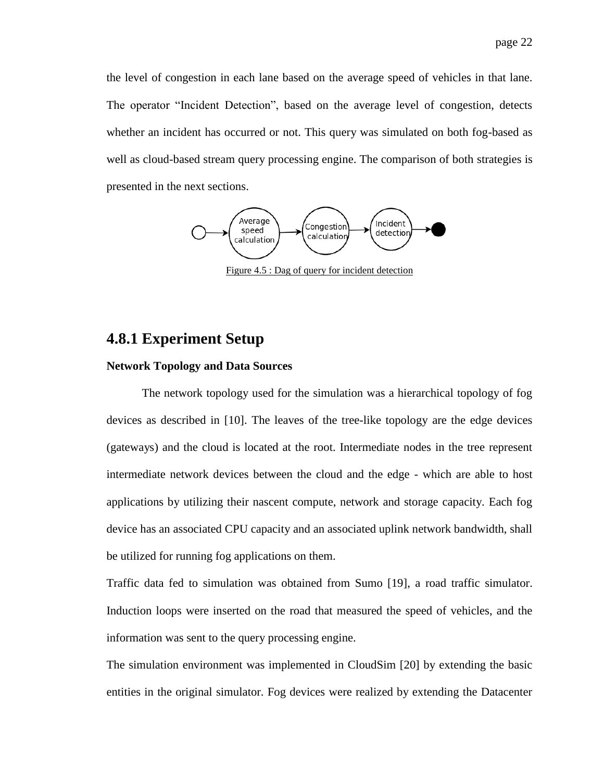the level of congestion in each lane based on the average speed of vehicles in that lane. The operator "Incident Detection", based on the average level of congestion, detects whether an incident has occurred or not. This query was simulated on both fog-based as well as cloud-based stream query processing engine. The comparison of both strategies is presented in the next sections.



Figure 4.5 : Dag of query for incident detection

### **4.8.1 Experiment Setup**

### **Network Topology and Data Sources**

The network topology used for the simulation was a hierarchical topology of fog devices as described in [\[10\].](#page-25-5) The leaves of the tree-like topology are the edge devices (gateways) and the cloud is located at the root. Intermediate nodes in the tree represent intermediate network devices between the cloud and the edge - which are able to host applications by utilizing their nascent compute, network and storage capacity. Each fog device has an associated CPU capacity and an associated uplink network bandwidth, shall be utilized for running fog applications on them.

Traffic data fed to simulation was obtained from Sumo [\[19\],](#page-25-6) a road traffic simulator. Induction loops were inserted on the road that measured the speed of vehicles, and the information was sent to the query processing engine.

The simulation environment was implemented in CloudSim [\[20\]](#page-25-7) by extending the basic entities in the original simulator. Fog devices were realized by extending the Datacenter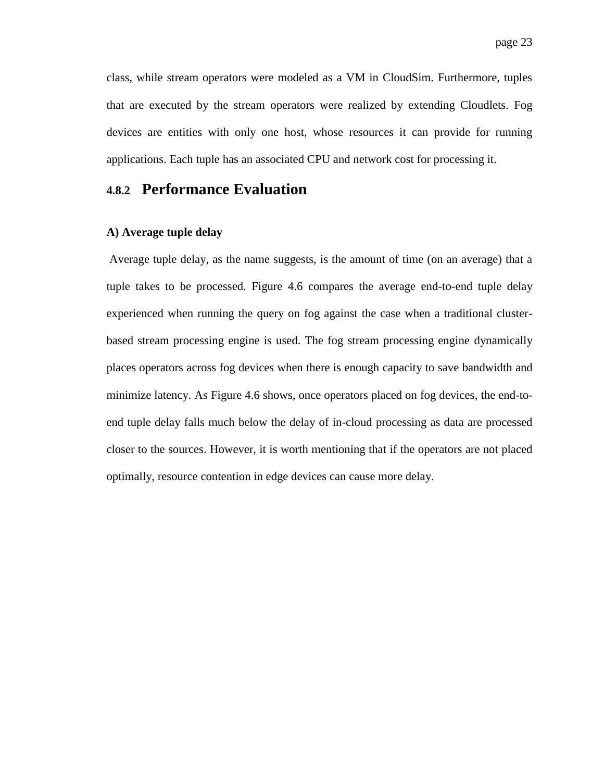class, while stream operators were modeled as a VM in CloudSim. Furthermore, tuples that are executed by the stream operators were realized by extending Cloudlets. Fog devices are entities with only one host, whose resources it can provide for running applications. Each tuple has an associated CPU and network cost for processing it.

### **4.8.2 Performance Evaluation**

### **A) Average tuple delay**

Average tuple delay, as the name suggests, is the amount of time (on an average) that a tuple takes to be processed. Figure 4.6 compares the average end-to-end tuple delay experienced when running the query on fog against the case when a traditional clusterbased stream processing engine is used. The fog stream processing engine dynamically places operators across fog devices when there is enough capacity to save bandwidth and minimize latency. As Figure 4.6 shows, once operators placed on fog devices, the end-toend tuple delay falls much below the delay of in-cloud processing as data are processed closer to the sources. However, it is worth mentioning that if the operators are not placed optimally, resource contention in edge devices can cause more delay.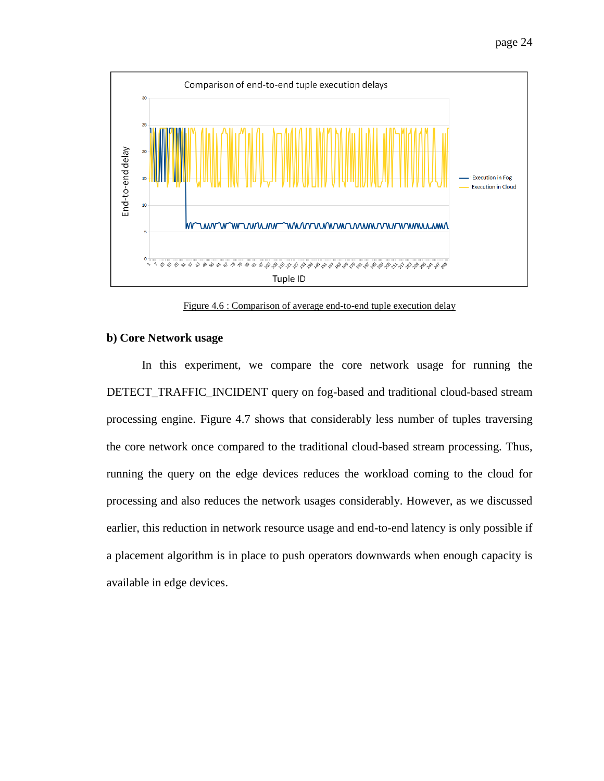



Figure 4.6 : Comparison of average end-to-end tuple execution delay

#### **b) Core Network usage**

In this experiment, we compare the core network usage for running the DETECT\_TRAFFIC\_INCIDENT query on fog-based and traditional cloud-based stream processing engine. Figure 4.7 shows that considerably less number of tuples traversing the core network once compared to the traditional cloud-based stream processing. Thus, running the query on the edge devices reduces the workload coming to the cloud for processing and also reduces the network usages considerably. However, as we discussed earlier, this reduction in network resource usage and end-to-end latency is only possible if a placement algorithm is in place to push operators downwards when enough capacity is available in edge devices.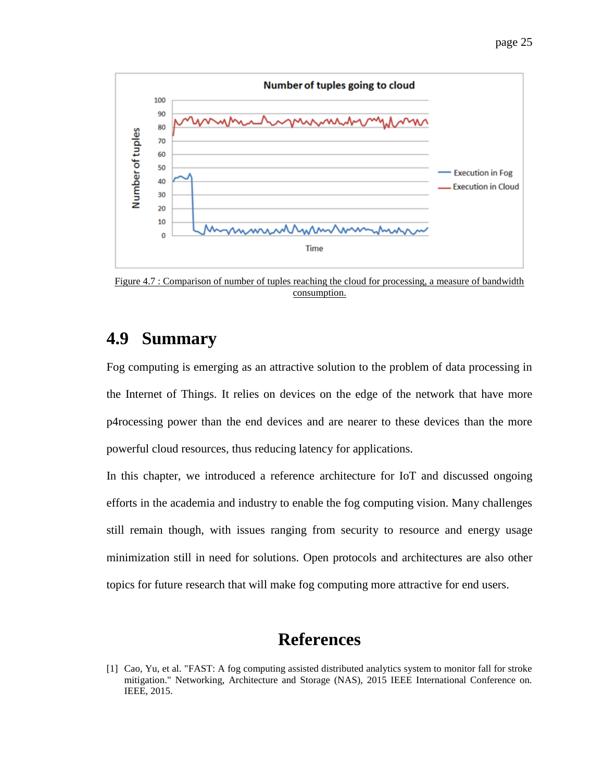



Figure 4.7 : Comparison of number of tuples reaching the cloud for processing, a measure of bandwidth consumption.

### **4.9 Summary**

Fog computing is emerging as an attractive solution to the problem of data processing in the Internet of Things. It relies on devices on the edge of the network that have more p4rocessing power than the end devices and are nearer to these devices than the more powerful cloud resources, thus reducing latency for applications.

In this chapter, we introduced a reference architecture for IoT and discussed ongoing efforts in the academia and industry to enable the fog computing vision. Many challenges still remain though, with issues ranging from security to resource and energy usage minimization still in need for solutions. Open protocols and architectures are also other topics for future research that will make fog computing more attractive for end users.

# **References**

<sup>[1]</sup> Cao, Yu, et al. "FAST: A fog computing assisted distributed analytics system to monitor fall for stroke mitigation." Networking, Architecture and Storage (NAS), 2015 IEEE International Conference on. IEEE, 2015.